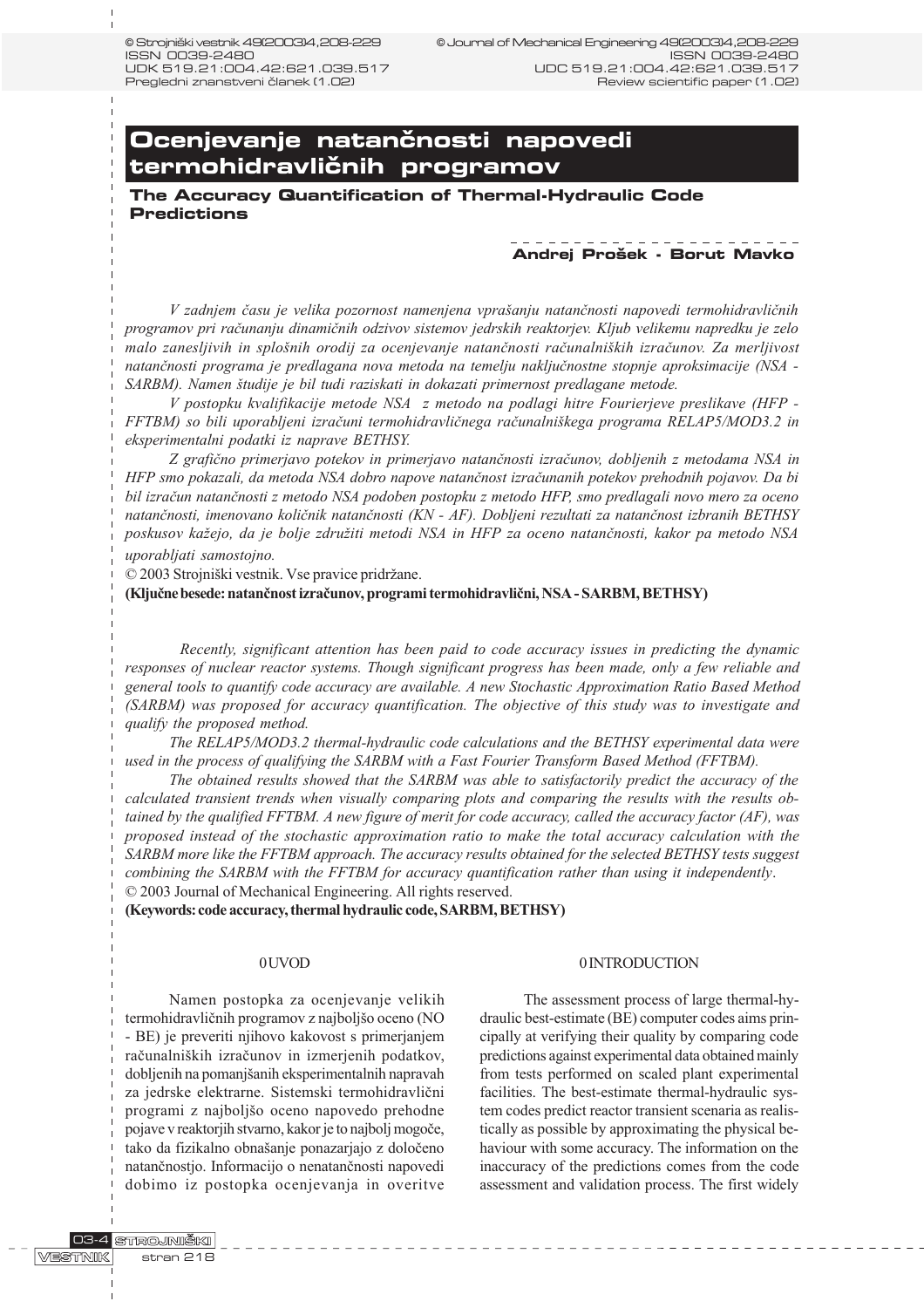# **Ocenjevanje natančnosti napovedi** termohidravličnih programov

**The Accuracy Quantification of Thermal-Hydraulic Code Predictions**

# **Andrej Pro{ek - Borut Mavko**

V zadnjem času je velika pozornost namenjena vprašanju natančnosti napovedi termohidravličnih programov pri raèunanju dinamiènih odzivov sistemov jedrskih reaktorjev. Kljub velikemu napredku je zelo malo zanesljivih in splošnih orodij za ocenjevanje natančnosti računalniških izračunov. Za merljivost natanènosti programa je predlagana nova metoda na temelju nakljuènostne stopnje aproksimacije (NSA - SARBM). Namen študije je bil tudi raziskati in dokazati primernost predlagane metode.

V postopku kvalifikacije metode NSA z metodo na podlagi hitre Fourierjeve preslikave (HFP - FFTBM) so bili uporabljeni izraèuni termohidravliènega raèunalnikega programa RELAP5/MOD3.2 in eksperimentalni podatki iz naprave BETHSY.

Z grafièno primerjavo potekov in primerjavo natanènosti izraèunov, dobljenih z metodama NSA in HFP smo pokazali, da metoda NSA dobro napove natanènost izraèunanih potekov prehodnih pojavov. Da bi bil izraèun natanènosti z metodo NSA podoben postopku z metodo HFP, smo predlagali novo mero za oceno natanènosti, imenovano koliènik natanènosti (KN - AF). Dobljeni rezultati za natanènost izbranih BETHSY poskusov kažejo, da je bolje združiti metodi NSA in HFP za oceno natančnosti, kakor pa metodo NSA uporabljati samostojno.

© 2003 Strojniški vestnik. Vse pravice pridržane.

(Kljuène besede: natanènost izraèunov, programi termohidravlièni, NSA - SARBM, BETHSY)

Recently, significant attention has been paid to code accuracy issues in predicting the dynamic responses of nuclear reactor systems. Though significant progress has been made, only a few reliable and general tools to quantify code accuracy are available. A new Stochastic Approximation Ratio Based Method (SARBM) was proposed for accuracy quantification. The objective of this study was to investigate and qualify the proposed method.

The RELAP5/MOD3.2 thermal-hydraulic code calculations and the BETHSY experimental data were used in the process of qualifying the SARBM with a Fast Fourier Transform Based Method (FFTBM).

The obtained results showed that the SARBM was able to satisfactorily predict the accuracy of the calculated transient trends when visually comparing plots and comparing the results with the results obtained by the qualified FFTBM. A new figure of merit for code accuracy, called the accuracy factor (AF), was proposed instead of the stochastic approximation ratio to make the total accuracy calculation with the SARBM more like the FFTBM approach. The accuracy results obtained for the selected BETHSY tests suggest combining the SARBM with the FFTBM for accuracy quantification rather than using it independently. © 2003 Journal of Mechanical Engineering. All rights reserved.

(Keywords: code accuracy, thermal hydraulic code, SARBM, BETHSY)

## 0 UVOD

Namen postopka za ocenjevanje velikih termohidravličnih programov z najboljšo oceno (NO - BE) je preveriti njihovo kakovost s primerjanjem raèunalnikih izraèunov in izmerjenih podatkov, dobljenih na pomanjšanih eksperimentalnih napravah za jedrske elektrarne. Sistemski termohidravlièni programi z najboljšo oceno napovedo prehodne pojave v reaktorjih stvarno, kakor je to najboljmogoèe, tako da fizikalno obnašanje ponazarjajo z določeno natanènostjo. Informacijo o nenatanènosti napovedi dobimo iz postopka ocenjevanja in overitve

#### 0 INTRODUCTION

The assessment process of large thermal-hydraulic best-estimate (BE) computer codes aims principally at verifying their quality by comparing code predictions against experimental data obtained mainly from tests performed on scaled plant experimental facilities. The best-estimate thermal-hydraulic system codes predict reactor transient scenaria as realistically as possible by approximating the physical behaviour with some accuracy. The information on the inaccuracy of the predictions comes from the code assessment and validation process. The first widely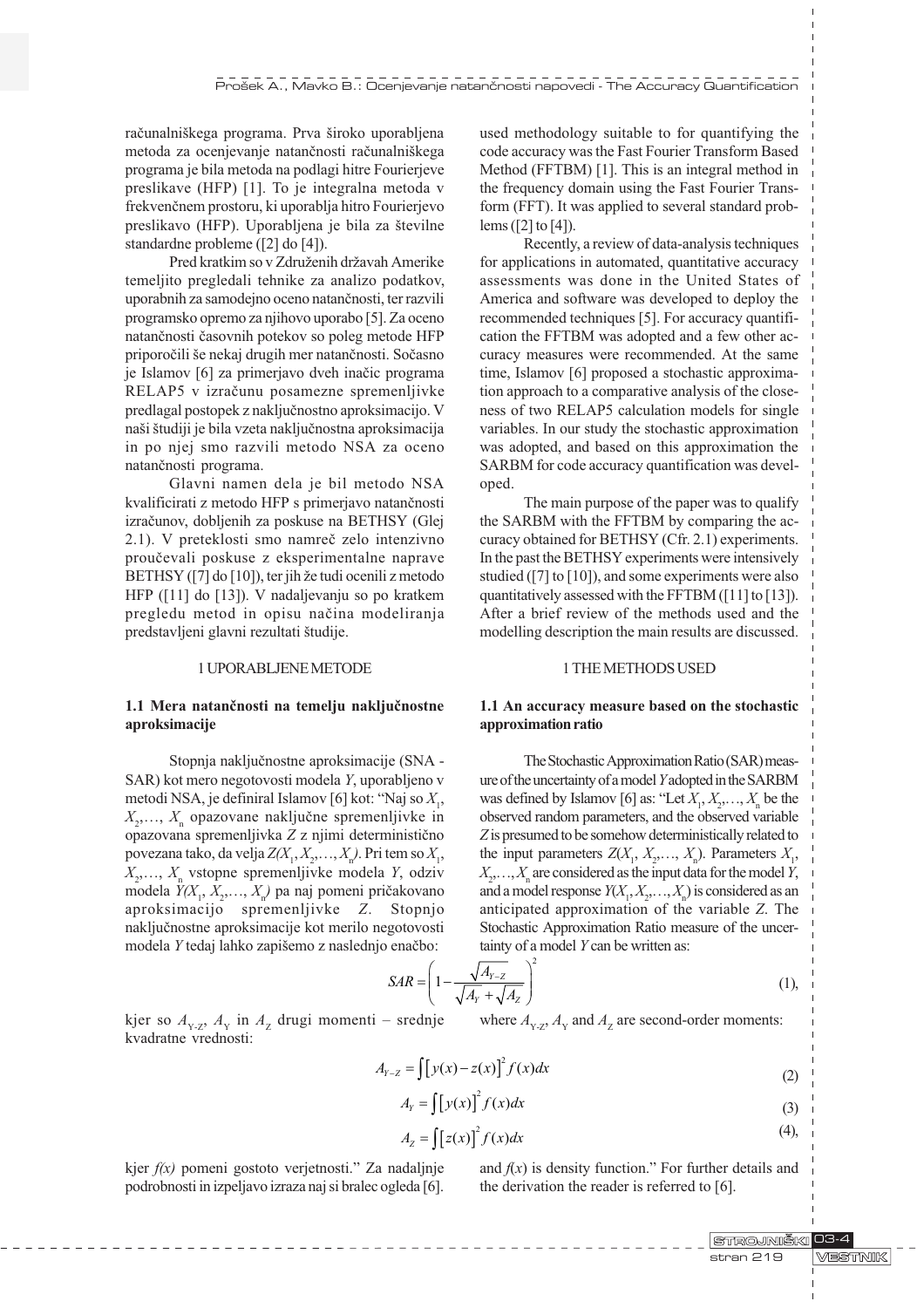računalniškega programa. Prva široko uporabljena metoda za ocenjevanje natančnosti računalniškega programa je bila metoda na podlagi hitre Fourierjeve preslikave (HFP) [1]. To je integralna metoda v frekvenènem prostoru, ki uporablja hitro Fourierjevo preslikavo (HFP). Uporabljena je bila za številne standardne probleme ([2] do [4]).

Pred kratkim so v Združenih državah Amerike temeljito pregledali tehnike za analizo podatkov, uporabnih za samodejno oceno natanènosti, ter razvili programsko opremo za njihovo uporabo [5]. Za oceno natanènosti èasovnih potekov so poleg metode HFP priporočili še nekaj drugih mer natančnosti. Sočasno je Islamov [6] za primerjavo dveh inaèic programa RELAP5 v izraèunu posamezne spremenljivke predlagal postopek z nakljuènostno aproksimacijo. V naši študiji je bila vzeta naključnostna aproksimacija in po njej smo razvili metodo NSA za oceno natanènosti programa.

Glavni namen dela je bil metodo NSA kvalificirati z metodo HFP s primerjavo natanènosti izraèunov, dobljenih za poskuse na BETHSY (Glej 2.1). V preteklosti smo namreè zelo intenzivno prouèevali poskuse z eksperimentalne naprave BETHSY ([7] do [10]), ter jih že tudi ocenili z metodo HFP ([11] do [13]). V nadaljevanju so po kratkem pregledu metod in opisu naèina modeliranja predstavljeni glavni rezultati študije.

#### 1 UPORABLJENE METODE

# 1.1 Mera natanènosti na temelju nakljuènostne aproksimacije

Stopnja nakljuènostne aproksimacije (SNA - SAR) kot mero negotovosti modela Y, uporabljeno v metodi NSA, je definiral Islamov [6] kot: "Naj so  $X_1$ ,  $X_2, \ldots, X_n$  opazovane naključne spremenljivke in opazovana spremenljivka Z z njimi deterministièno povezana tako, da velja  $Z(X_1, X_2, \ldots, X_n)$ . Pri tem so  $X_1$ ,  $X_2, \ldots, X_n$  vstopne spremenljivke modela Y, odziv modela  $Y(X_1, X_2, \ldots, X_n)$  pa naj pomeni pričakovano aproksimacijo spremenljivke Z. Stopnjo nakljuènostne aproksimacije kot merilo negotovosti modela Y tedaj lahko zapišemo z naslednjo enačbo:

used methodology suitable to for quantifying the code accuracy was the Fast Fourier Transform Based Method (FFTBM) [1]. This is an integral method in the frequency domain using the Fast Fourier Transform (FFT). It was applied to several standard problems ([2] to [4]).

Recently, a review of data-analysis techniques for applications in automated, quantitative accuracy assessments was done in the United States of America and software was developed to deploy the recommended techniques [5]. For accuracy quantification the FFTBM was adopted and a few other accuracy measures were recommended. At the same time, Islamov [6] proposed a stochastic approximation approach to a comparative analysis of the closeness of two RELAP5 calculation models for single variables. In our study the stochastic approximation was adopted, and based on this approximation the SARBM for code accuracy quantification was developed.

The main purpose of the paper was to qualify the SARBM with the FFTBM by comparing the accuracy obtained for BETHSY (Cfr. 2.1) experiments. In the past the BETHSY experiments were intensively studied ([7] to [10]), and some experiments were also quantitatively assessed with the FFTBM ([11] to [13]). After a brief review of the methods used and the modelling description the main results are discussed.

## 1 THE METHODS USED

# 1.1 An accuracy measure based on the stochastic approximation ratio

The Stochastic Approximation Ratio (SAR) measure of the uncertainty of a model Y adopted in the SARBM was defined by Islamov [6] as: "Let  $X_1, X_2, \ldots, X_n$  be the observed random parameters, and the observed variable Z is presumed to be somehow deterministically related to the input parameters  $Z(X_1, X_2, \ldots, X_n)$ . Parameters  $X_1$ ,  $X_2, \ldots, X_n$  are considered as the input data for the model Y, and a model response  $Y(X_1, X_2, \ldots, X_n)$  is considered as an anticipated approximation of the variable Z. The Stochastic Approximation Ratio measure of the uncertainty of a model Y can be written as:

$$
SAR = \left(1 - \frac{\sqrt{A_{Y-Z}}}{\sqrt{A_Y} + \sqrt{A_Z}}\right)^2
$$
 (1),

kjer so  $A_{Y,Z}$ ,  $A_Y$  in  $A_Z$  drugi momenti – srednje kvadratne vrednosti:

where  $A_{Y,Z}$ ,  $A_Y$  and  $A_Z$  are second-order moments:

$$
A_{Y-Z} = \int [y(x) - z(x)]^2 f(x) dx
$$
 (2)

$$
A_Y = \int [y(x)]^2 f(x) dx
$$
 (3)

$$
A_z = \int [z(x)]^2 f(x) dx
$$
 (4),

kjer  $f(x)$  pomeni gostoto verjetnosti." Za nadaljnje podrobnosti in izpeljavo izraza naj si bralec ogleda [6].

---------------------------

and  $f(x)$  is density function." For further details and the derivation the reader is referred to [6].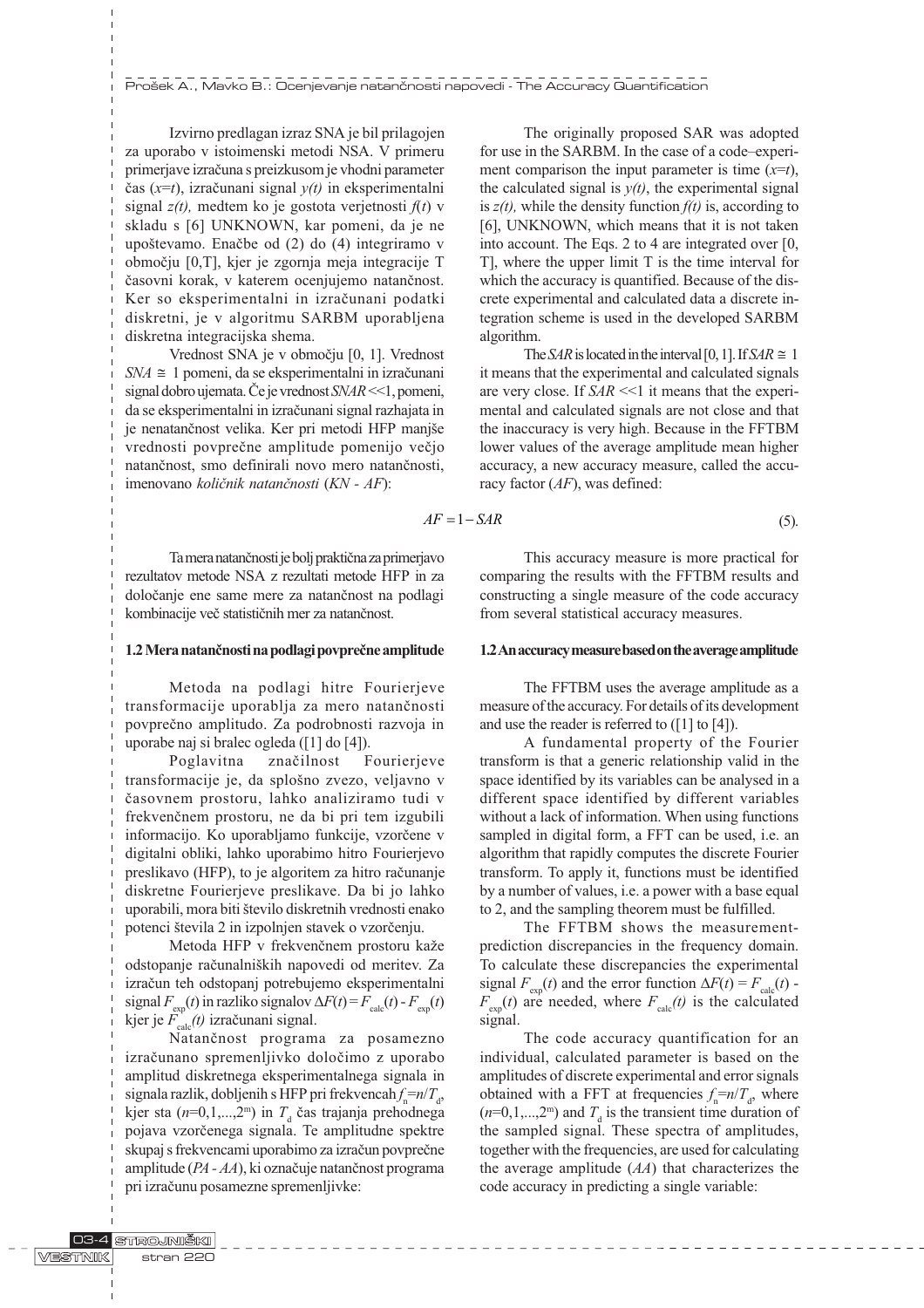Izvirno predlagan izraz SNA je bil prilagojen za uporabo v istoimenski metodi NSA. V primeru primerjave izraèuna s preizkusom je vhodni parameter èas (x=t), izraèunani signal y(t) in eksperimentalni signal  $z(t)$ , medtem ko je gostota verjetnosti  $f(t)$  v skladu s [6] UNKNOWN, kar pomeni, da je ne upoštevamo. Enačbe od (2) do (4) integriramo v obmoèju [0,T], kjer je zgornja meja integracije T èasovni korak, v katerem ocenjujemo natanènost. Ker so eksperimentalni in izraèunani podatki diskretni, je v algoritmu SARBM uporabljena diskretna integracijska shema.

Vrednost SNA je v obmoèju [0, 1]. Vrednost  $SNA \cong 1$  pomeni, da se eksperimentalni in izračunani signal dobro ujemata. Če je vrednost  $SNAR \ll 1$ , pomeni, da se eksperimentalni in izraèunani signal razhajata in je nenatančnost velika. Ker pri metodi HFP manjše vrednosti povprečne amplitude pomenijo večjo natanènost, smo definirali novo mero natanènosti, imenovano količnik natančnosti (KN - AF):

Ta mera natanènosti je bolj praktièna za primerjavo rezultatov metode NSA z rezultati metode HFP in za doloèanje ene same mere za natanènost na podlagi kombinacije veè statistiènih mer za natanènost.

## 1.2 Mera natanènosti na podlagi povpreène amplitude

Metoda na podlagi hitre Fourierjeve transformacije uporablja za mero natanènosti povpreèno amplitudo. Za podrobnosti razvoja in uporabe naj si bralec ogleda ([1] do [4]).

Poglavitna znaèilnost Fourierjeve transformacije je, da splošno zvezo, veljavno v èasovnem prostoru, lahko analiziramo tudi v frekvenènem prostoru, ne da bi pri tem izgubili informacijo. Ko uporabljamo funkcije, vzorèene v digitalni obliki, lahko uporabimo hitro Fourierjevo preslikavo (HFP), to je algoritem za hitro raèunanje diskretne Fourierjeve preslikave. Da bi jo lahko uporabili, mora biti število diskretnih vrednosti enako potenci števila 2 in izpolnjen stavek o vzorčenju.

Metoda HFP v frekvenčnem prostoru kaže odstopanje računalniških napovedi od meritev. Za izraèun teh odstopanj potrebujemo eksperimentalni signal  $F_{\text{exp}}(t)$  in razliko signalov  $\Delta F(t) = F_{\text{calc}}(t) - F_{\text{exp}}(t)$ kjer je  $F_{\text{calc}}(t)$  izračunani signal.

Natanènost programa za posamezno izraèunano spremenljivko doloèimo z uporabo amplitud diskretnega eksperimentalnega signala in signala razlik, dobljenih s HFP pri frekvencah $f_{\rm n} = n/T_{\rm d}$ , kjer sta  $(n=0,1,...,2^m)$  in  $T_d$  čas trajanja prehodnega pojava vzorèenega signala. Te amplitudne spektre skupaj s frekvencami uporabimo za izraèun povpreène amplitude (PA - AA), ki oznaèuje natanènost programa pri izraèunu posamezne spremenljivke:

The originally proposed SAR was adopted for use in the SARBM. In the case of a code-experiment comparison the input parameter is time  $(x=t)$ , the calculated signal is  $y(t)$ , the experimental signal is  $z(t)$ , while the density function  $f(t)$  is, according to [6], UNKNOWN, which means that it is not taken into account. The Eqs. 2 to 4 are integrated over [0, T], where the upper limit T is the time interval for which the accuracy is quantified. Because of the discrete experimental and calculated data a discrete integration scheme is used in the developed SARBM algorithm.

The SAR is located in the interval [0, 1]. If SAR  $\cong$  1 it means that the experimental and calculated signals are very close. If  $SAR \ll 1$  it means that the experimental and calculated signals are not close and that the inaccuracy is very high. Because in the FFTBM lower values of the average amplitude mean higher accuracy, a new accuracy measure, called the accuracy factor  $(AF)$ , was defined:

$$
AF = 1 - SAR \tag{5}
$$

This accuracy measure is more practical for comparing the results with the FFTBM results and constructing a single measure of the code accuracy from several statistical accuracy measures.

#### 1.2 An accuracy measure based on the average amplitude

The FFTBM uses the average amplitude as a measure of the accuracy. For details of its development and use the reader is referred to ([1] to [4]).

A fundamental property of the Fourier transform is that a generic relationship valid in the space identified by its variables can be analysed in a different space identified by different variables without a lack of information. When using functions sampled in digital form, a FFT can be used, i.e. an algorithm that rapidly computes the discrete Fourier transform. To apply it, functions must be identified by a number of values, i.e. a power with a base equal to 2, and the sampling theorem must be fulfilled.

The FFTBM shows the measurementprediction discrepancies in the frequency domain. To calculate these discrepancies the experimental signal  $F_{\text{exp}}(t)$  and the error function  $\Delta F(t) = F_{\text{calc}}(t)$  - $F_{\text{exp}}(t)$  are needed, where  $F_{\text{calc}}(t)$  is the calculated signal.

The code accuracy quantification for an individual, calculated parameter is based on the amplitudes of discrete experimental and error signals obtained with a FFT at frequencies  $f_n = n/T_d$ , where  $(n=0,1,...,2^m)$  and  $T_d$  is the transient time duration of the sampled signal. These spectra of amplitudes, together with the frequencies, are used for calculating the average amplitude  $(A)$  that characterizes the code accuracy in predicting a single variable: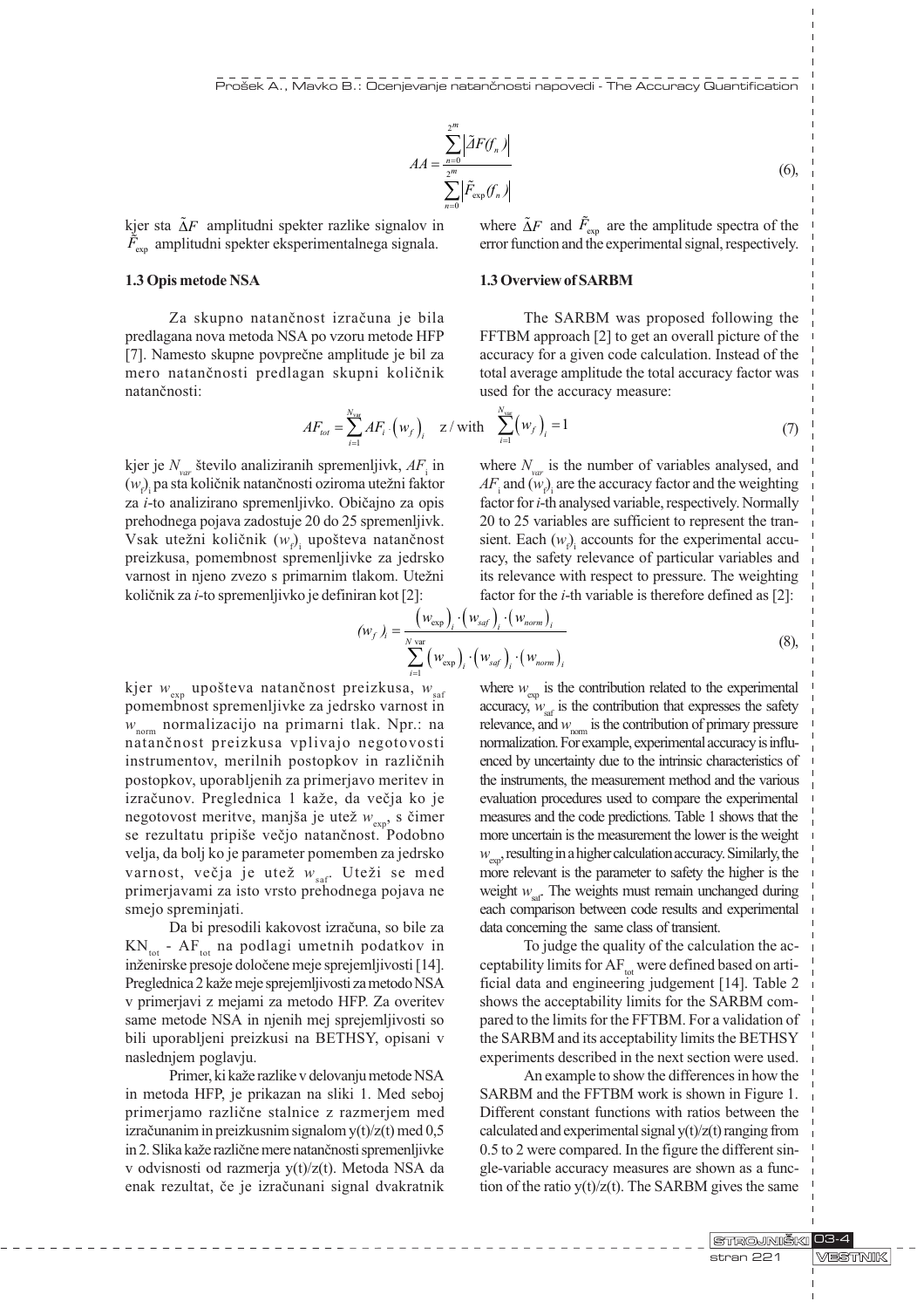$$
AA = \frac{\sum_{n=0}^{2^m} |\tilde{A}F(f_n)|}{\sum_{n=0}^{2^m} |\tilde{F}_{\text{exp}}(f_n)|}
$$
(6),

kjer sta  $\Delta F$  amplitudni spekter razlike signalov in  $\tilde{F}_{\rm exp}$  amplitudni spekter eksperimentalnega signala.

## 1.3 Opis metode NSA

Za skupno natanènost izraèuna je bila predlagana nova metoda NSA po vzoru metode HFP [7]. Namesto skupne povprečne amplitude je bil za mero natanènosti predlagan skupni koliènik natanènosti:

where  $\tilde{\Delta}F$  and  $\tilde{F}_{exp}$  are the amplitude spectra of the error function and the experimental signal, respectively.

# 1.3 Overview of SARBM

The SARBM was proposed following the FFTBM approach [2] to get an overall picture of the accuracy for a given code calculation. Instead of the total average amplitude the total accuracy factor was used for the accuracy measure:

$$
AF_{tot} = \sum_{i=1}^{N_{var}} AF_i \cdot (w_f)_i \quad z \text{ with } \sum_{i=1}^{N_{var}} (w_f)_i = 1 \tag{7}
$$

kjer je  $N_{var}$  število analiziranih spremenljivk,  $AF_i$  in  $(w_{\scriptscriptstyle\rm f})$  pa sta količnik natančnosti oziroma utežni faktor za i-to analizirano spremenljivko. Obièajno za opis prehodnega pojava zadostuje 20 do 25 spremenljivk. Vsak utežni količnik  $(w_{\rho})$  upošteva natančnost preizkusa, pomembnost spremenljivke za jedrsko varnost in njeno zvezo s primarnim tlakom. Utežni koliènik za i-to spremenljivko je definiran kot [2]:

where  $N_{var}$  is the number of variables analysed, and  $AF$ <sub>i</sub> and  $(w$ <sub>*<sub>P</sub>*</sub><sub>i</sub> are the accuracy factor and the weighting factor for i-th analysed variable, respectively. Normally 20 to 25 variables are sufficient to represent the transient. Each  $(w<sub>f</sub>)<sub>i</sub>$  accounts for the experimental accuracy, the safety relevance of particular variables and its relevance with respect to pressure. The weighting factor for the  $i$ -th variable is therefore defined as [2]:

$$
(w_f)_i = \frac{\left(w_{\text{exp}}\right)_i \cdot \left(w_{\text{sqrt}}\right)_i \cdot \left(w_{\text{norm}}\right)_i}{\sum_{i=1}^{N \text{ var}} \left(w_{\text{exp}}\right)_i \cdot \left(w_{\text{sqrt}}\right)_i \cdot \left(w_{\text{norm}}\right)_i}
$$
(8),

kjer  $w_{\text{exp}}$  upošteva natančnost preizkusa,  $w_{\text{sat}}$ pomembnost spremenljivke za jedrsko varnost in  $w_{\text{norm}}$  normalizacijo na primarni tlak. Npr.: na natanènost preizkusa vplivajo negotovosti instrumentov, merilnih postopkov in razliènih postopkov, uporabljenih za primerjavo meritev in izračunov. Preglednica 1 kaže, da večja ko je negotovost meritve, manjša je utež  $w_{\text{exp}}$ , s čimer se rezultatu pripiše večjo natančnost. Podobno velja, da bolj ko je parameter pomemben za jedrsko varnost, večja je utež  $w_{\text{sat}}$ . Uteži se med primerjavami za isto vrsto prehodnega pojava ne smejo spreminjati.

Da bi presodili kakovost izraèuna, so bile za  $KN_{tot}$  - AF<sub>tot</sub> na podlagi umetnih podatkov in inženirske presoje določene meje sprejemljivosti [14]. Preglednica 2 kaže meje sprejemljivosti za metodo NSA v primerjavi z mejami za metodo HFP. Za overitev same metode NSA in njenih mej sprejemljivosti so bili uporabljeni preizkusi na BETHSY, opisani v naslednjem poglavju.

Primer, ki kaže razlike v delovanju metode NSA in metoda HFP, je prikazan na sliki 1. Med seboj primerjamo razliène stalnice z razmerjem med izraèunanim in preizkusnim signalom y(t)/z(t) med 0,5 in 2. Slika kaže različne mere natančnosti spremenljivke v odvisnosti od razmerja y(t)/z(t). Metoda NSA da enak rezultat, èe je izraèunani signal dvakratnik

where  $w_{\text{exp}}$  is the contribution related to the experimental accuracy,  $w_{\text{ref}}$  is the contribution that expresses the safety relevance, and  $w_{\text{nom}}$  is the contribution of primary pressure normalization. For example, experimental accuracy is influenced by uncertainty due to the intrinsic characteristics of the instruments, the measurement method and the various evaluation procedures used to compare the experimental measures and the code predictions. Table 1 shows that the more uncertain is the measurement the lower is the weight  $w_{\text{env}}$ , resulting in a higher calculation accuracy. Similarly, the more relevant is the parameter to safety the higher is the weight  $w_{\text{sat}}$ . The weights must remain unchanged during each comparison between code results and experimental data concerning the same class of transient.

To judge the quality of the calculation the acceptability limits for  $AF_{tot}$  were defined based on artificial data and engineering judgement [14]. Table 2 shows the acceptability limits for the SARBM compared to the limits for the FFTBM. For a validation of the SARBM and its acceptability limits the BETHSY experiments described in the next section were used.

An example to show the differences in how the SARBM and the FFTBM work is shown in Figure 1. Different constant functions with ratios between the calculated and experimental signal  $y(t)/z(t)$  ranging from 0.5 to 2 were compared. In the figure the different single-variable accuracy measures are shown as a function of the ratio  $y(t)/z(t)$ . The SARBM gives the same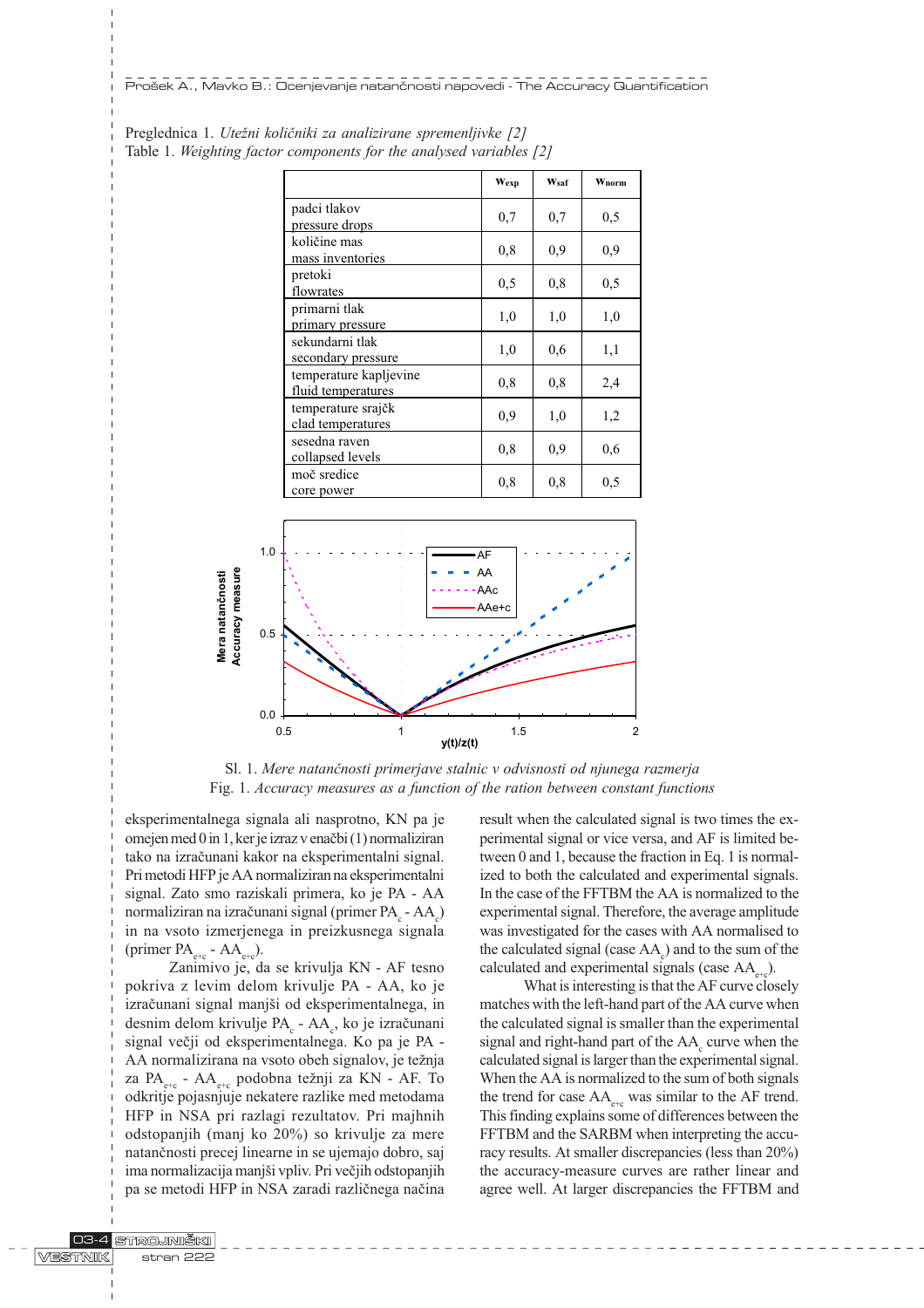|                                              | Wexp | Wsaf | Wnorm |
|----------------------------------------------|------|------|-------|
| padci tlakov<br>pressure drops               | 0,7  | 0,7  | 0,5   |
| količine mas<br>mass inventories             | 0, 8 | 0,9  | 0,9   |
| pretoki<br>flowrates                         | 0,5  | 0,8  | 0,5   |
| primarni tlak<br>primary pressure            | 1,0  | 1,0  | 1,0   |
| sekundarni tlak<br>secondary pressure        | 1,0  | 0,6  | 1,1   |
| temperature kapljevine<br>fluid temperatures | 0.8  | 0,8  | 2,4   |
| temperature srajčk<br>clad temperatures      | 0,9  | 1,0  | 1,2   |
| sesedna raven<br>collapsed levels            | 0,8  | 0,9  | 0,6   |
| moč sredice<br>core power                    | 0.8  | 0,8  | 0,5   |

|  |  | Preglednica 1. Utežni količniki za analizirane spremenljivke [2]    |  |  |
|--|--|---------------------------------------------------------------------|--|--|
|  |  | Table 1. Weighting factor components for the analysed variables [2] |  |  |



Sl. 1. Mere natanènosti primerjave stalnic v odvisnosti od njunega razmerja Fig. 1. Accuracy measures as a function of the ration between constant functions

eksperimentalnega signala ali nasprotno, KN pa je omejen med 0 in 1, ker je izraz v enaèbi (1) normaliziran tako na izraèunani kakor na eksperimentalni signal. Pri metodi HFP je AA normaliziran na eksperimentalni signal. Zato smo raziskali primera, ko je PA - AA normaliziran na izračunani signal (primer PA $_{\rm c}$  - AA $_{\rm c}$ ) in na vsoto izmerjenega in preizkusnega signala (primer  $PA_{e+c}$  -  $AA_{e+c}$ ).

Zanimivo je, da se krivulja KN - AF tesno pokriva z levim delom krivulje PA - AA, ko je izračunani signal manjši od eksperimentalnega, in desnim delom krivulje PA<sub>c</sub> - AA<sub>c</sub>, ko je izračunani signal veèji od eksperimentalnega. Ko pa je PA - AA normalizirana na vsoto obeh signalov, je težnja za P $A_{\text{obs}}$  - A $A_{\text{obs}}$  podobna težnji za KN - AF. To odkritje pojasnjuje nekatere razlike med metodama HFP in NSA pri razlagi rezultatov. Pri majhnih odstopanjih (manj ko 20%) so krivulje za mere natanènosti precej linearne in se ujemajo dobro, saj ima normalizacija manjši vpliv. Pri večjih odstopanjih pa se metodi HFP in NSA zaradi razliènega naèina

result when the calculated signal is two times the experimental signal or vice versa, and AF is limited between 0 and 1, because the fraction in Eq. 1 is normalized to both the calculated and experimental signals. In the case of the FFTBM the AA is normalized to the experimental signal. Therefore, the average amplitude was investigated for the cases with AA normalised to the calculated signal (case  $AA_c$ ) and to the sum of the calculated and experimental signals (case  $AA_{\text{at}}$ ).

What is interesting is that the AF curve closely matches with the left-hand part of the AA curve when the calculated signal is smaller than the experimental signal and right-hand part of the  $AA_c$  curve when the calculated signal is larger than the experimental signal. When the AA is normalized to the sum of both signals the trend for case  $AA_{\text{etc}}$  was similar to the AF trend. This finding explains some of differences between the FFTBM and the SARBM when interpreting the accuracy results. At smaller discrepancies (less than 20%) the accuracy-measure curves are rather linear and agree well. At larger discrepancies the FFTBM and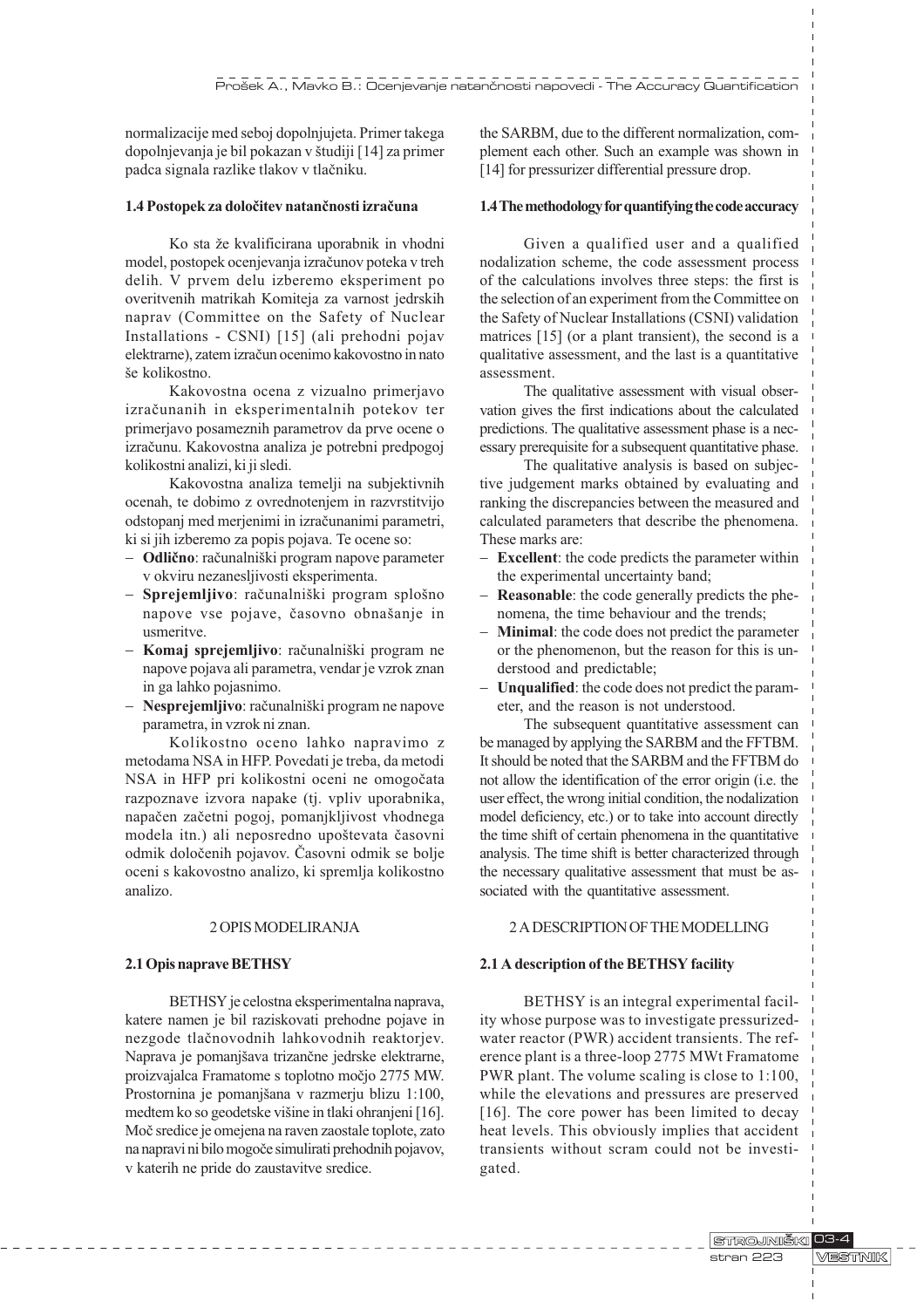normalizacije med seboj dopolnjujeta. Primer takega dopolnjevanja je bil pokazan v študiji [14] za primer padca signala razlike tlakov v tlaèniku.

## 1.4 Postopek za doloèitev natanènosti izraèuna

Ko sta že kvalificirana uporabnik in vhodni model, postopek ocenjevanja izraèunov poteka v treh delih. V prvem delu izberemo eksperiment po overitvenih matrikah Komiteja za varnost jedrskih naprav (Committee on the Safety of Nuclear Installations - CSNI) [15] (ali prehodni pojav elektrarne), zatem izraèun ocenimo kakovostno in nato še kolikostno.

Kakovostna ocena z vizualno primerjavo izraèunanih in eksperimentalnih potekov ter primerjavo posameznih parametrov da prve ocene o izraèunu. Kakovostna analiza je potrebni predpogoj kolikostni analizi, ki ji sledi.

Kakovostna analiza temelji na subjektivnih ocenah, te dobimo z ovrednotenjem in razvrstitvijo odstopanj med merjenimi in izraèunanimi parametri, ki si jih izberemo za popis pojava. Te ocene so:

- Odlično: računalniški program napove parameter v okviru nezanesljivosti eksperimenta.
- Sprejemljivo: računalniški program splošno napove vse pojave, časovno obnašanje in usmeritve.
- Komaj sprejemljivo: računalniški program ne napove pojava ali parametra, vendar je vzrok znan in ga lahko pojasnimo.
- Nesprejemljivo: računalniški program ne napove parametra, in vzrok ni znan.

Kolikostno oceno lahko napravimo z metodama NSA in HFP. Povedati je treba, da metodi NSA in HFP pri kolikostni oceni ne omogoèata razpoznave izvora napake (tj. vpliv uporabnika, napaèen zaèetni pogoj, pomanjkljivost vhodnega modela itn.) ali neposredno upoštevata časovni odmik doloèenih pojavov. Èasovni odmik se bolje oceni s kakovostno analizo, ki spremlja kolikostno analizo.

#### 2 OPIS MODELIRANJA

# 2.1 Opis naprave BETHSY

BETHSY je celostna eksperimentalna naprava, katere namen je bil raziskovati prehodne pojave in nezgode tlaènovodnih lahkovodnih reaktorjev. Naprava je pomanjšava trizančne jedrske elektrarne, proizvajalca Framatome s toplotno moèjo 2775 MW. Prostornina je pomanjšana v razmerju blizu 1:100, medtem ko so geodetske višine in tlaki ohranjeni [16]. Moè sredice je omejena na raven zaostale toplote, zato na napravi ni bilo mogoèe simulirati prehodnih pojavov, v katerih ne pride do zaustavitve sredice.

the SARBM, due to the different normalization, complement each other. Such an example was shown in [14] for pressurizer differential pressure drop.

## 1.4 The methodology for quantifying the code accuracy

Given a qualified user and a qualified nodalization scheme, the code assessment process of the calculations involves three steps: the first is the selection of an experiment from the Committee on the Safety of Nuclear Installations (CSNI) validation matrices [15] (or a plant transient), the second is a qualitative assessment, and the last is a quantitative assessment.

The qualitative assessment with visual observation gives the first indications about the calculated predictions. The qualitative assessment phase is a necessary prerequisite for a subsequent quantitative phase.

The qualitative analysis is based on subjective judgement marks obtained by evaluating and ranking the discrepancies between the measured and calculated parameters that describe the phenomena. These marks are:

- **Excellent**: the code predicts the parameter within the experimental uncertainty band;
- Reasonable: the code generally predicts the phenomena, the time behaviour and the trends;
- **Minimal**: the code does not predict the parameter or the phenomenon, but the reason for this is understood and predictable;
- Unqualified: the code does not predict the parameter, and the reason is not understood.

The subsequent quantitative assessment can be managed by applying the SARBM and the FFTBM. It should be noted that the SARBM and the FFTBM do not allow the identification of the error origin (i.e. the user effect, the wrong initial condition, the nodalization model deficiency, etc.) or to take into account directly the time shift of certain phenomena in the quantitative analysis. The time shift is better characterized through the necessary qualitative assessment that must be associated with the quantitative assessment.

## 2 A DESCRIPTION OF THE MODELLING

# 2.1 A description of the BETHSY facility

BETHSY is an integral experimental facility whose purpose was to investigate pressurizedwater reactor (PWR) accident transients. The reference plant is a three-loop 2775 MWt Framatome PWR plant. The volume scaling is close to 1:100, while the elevations and pressures are preserved [16]. The core power has been limited to decay heat levels. This obviously implies that accident transients without scram could not be investigated.

> STROJNIŠKI 03-4 **MESTINIK** stran 223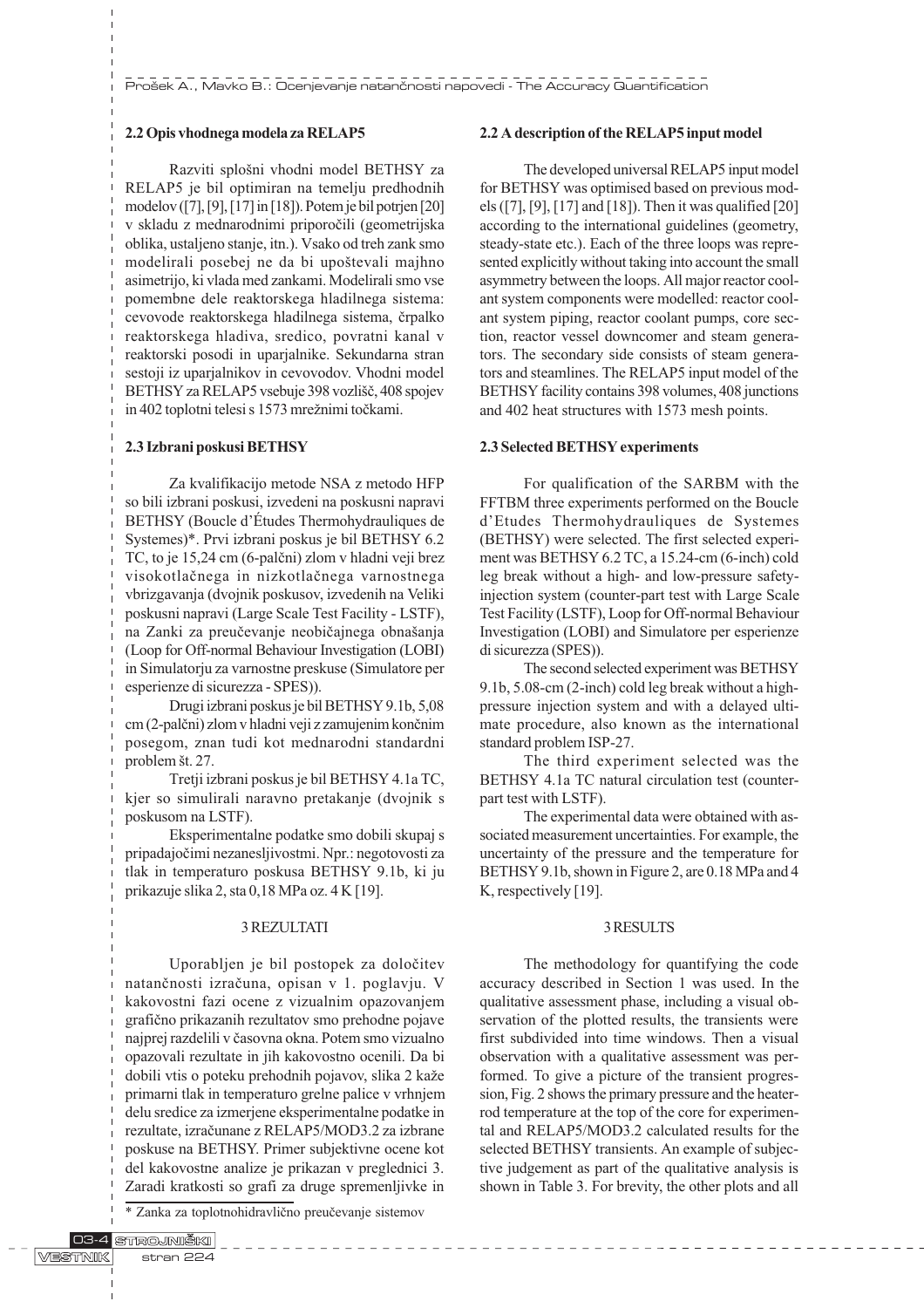# 2.2 Opis vhodnega modela za RELAP5

Razviti splošni vhodni model BETHSY za RELAP5 je bil optimiran na temelju predhodnih modelov ([7], [9], [17] in [18]). Potem je bil potrjen [20] v skladu z mednarodnimi priporoèili (geometrijska oblika, ustaljeno stanje, itn.). Vsako od treh zank smo modelirali posebej ne da bi upoštevali majhno asimetrijo, ki vlada med zankami. Modelirali smo vse pomembne dele reaktorskega hladilnega sistema: cevovode reaktorskega hladilnega sistema, èrpalko reaktorskega hladiva, sredico, povratni kanal v reaktorski posodi in uparjalnike. Sekundarna stran sestoji iz uparjalnikov in cevovodov. Vhodni model BETHSY za RELAP5 vsebuje 398 vozlišč, 408 spojev in 402 toplotni telesi s 1573 mrežnimi točkami.

#### 2.3 Izbrani poskusi BETHSY

Za kvalifikacijo metode NSA z metodo HFP so bili izbrani poskusi, izvedeni na poskusni napravi BETHSY (Boucle d'Études Thermohydrauliques de Systemes)\*. Prvi izbrani poskus je bil BETHSY 6.2 TC, to je 15,24 cm (6-palèni) zlom v hladni veji brez visokotlaènega in nizkotlaènega varnostnega vbrizgavanja (dvojnik poskusov, izvedenih na Veliki poskusni napravi (Large Scale Test Facility - LSTF), na Zanki za preučevanje neobičajnega obnašanja (Loop for Off-normal Behaviour Investigation (LOBI) in Simulatorju za varnostne preskuse (Simulatore per esperienze di sicurezza - SPES)).

Drugi izbrani poskus je bil BETHSY 9.1b, 5,08 cm (2-palèni) zlom v hladni veji z zamujenim konènim posegom, znan tudi kot mednarodni standardni problem št. 27.

Tretji izbrani poskus je bil BETHSY 4.1a TC, kjer so simulirali naravno pretakanje (dvojnik s poskusom na LSTF).

Eksperimentalne podatke smo dobili skupaj s pripadajoèimi nezanesljivostmi. Npr.: negotovosti za tlak in temperaturo poskusa BETHSY 9.1b, ki ju prikazuje slika 2, sta 0,18 MPa oz. 4 K [19].

## 3 REZULTATI

Uporabljen je bil postopek za doloèitev natanènosti izraèuna, opisan v 1. poglavju. V kakovostni fazi ocene z vizualnim opazovanjem grafièno prikazanih rezultatov smo prehodne pojave najprej razdelili v èasovna okna. Potem smo vizualno opazovali rezultate in jih kakovostno ocenili. Da bi dobili vtis o poteku prehodnih pojavov, slika 2 kaže primarni tlak in temperaturo grelne palice v vrhnjem delu sredice za izmerjene eksperimentalne podatke in rezultate, izraèunane z RELAP5/MOD3.2 za izbrane poskuse na BETHSY. Primer subjektivne ocene kot del kakovostne analize je prikazan v preglednici 3. Zaradi kratkosti so grafi za druge spremenljivke in

\* Zanka za toplotnohidravlièno preuèevanje sistemov

#### 2.2 A description of the RELAP5 input model

The developed universal RELAP5 input model for BETHSY was optimised based on previous models ([7], [9], [17] and [18]). Then it was qualified [20] according to the international guidelines (geometry, steady-state etc.). Each of the three loops was represented explicitly without taking into account the small asymmetry between the loops. All major reactor coolant system components were modelled: reactor coolant system piping, reactor coolant pumps, core section, reactor vessel downcomer and steam generators. The secondary side consists of steam generators and steamlines. The RELAP5 input model of the BETHSY facility contains 398 volumes, 408 junctions and 402 heat structures with 1573 mesh points.

#### 2.3 Selected BETHSY experiments

For qualification of the SARBM with the FFTBM three experiments performed on the Boucle d'Etudes Thermohydrauliques de Systemes (BETHSY) were selected. The first selected experiment was BETHSY 6.2 TC, a 15.24-cm (6-inch) cold leg break without a high- and low-pressure safetyinjection system (counter-part test with Large Scale Test Facility (LSTF), Loop for Off-normal Behaviour Investigation (LOBI) and Simulatore per esperienze di sicurezza (SPES)).

The second selected experiment was BETHSY 9.1b, 5.08-cm (2-inch) cold leg break without a highpressure injection system and with a delayed ultimate procedure, also known as the international standard problem ISP-27.

The third experiment selected was the BETHSY 4.1a TC natural circulation test (counterpart test with LSTF).

The experimental data were obtained with associated measurement uncertainties. For example, the uncertainty of the pressure and the temperature for BETHSY 9.1b, shown in Figure 2, are 0.18 MPa and 4 K, respectively [19].

## 3 RESULTS

The methodology for quantifying the code accuracy described in Section 1 was used. In the qualitative assessment phase, including a visual observation of the plotted results, the transients were first subdivided into time windows. Then a visual observation with a qualitative assessment was performed. To give a picture of the transient progression, Fig. 2 shows the primary pressure and the heaterrod temperature at the top of the core for experimental and RELAP5/MOD3.2 calculated results for the selected BETHSY transients. An example of subjective judgement as part of the qualitative analysis is shown in Table 3. For brevity, the other plots and all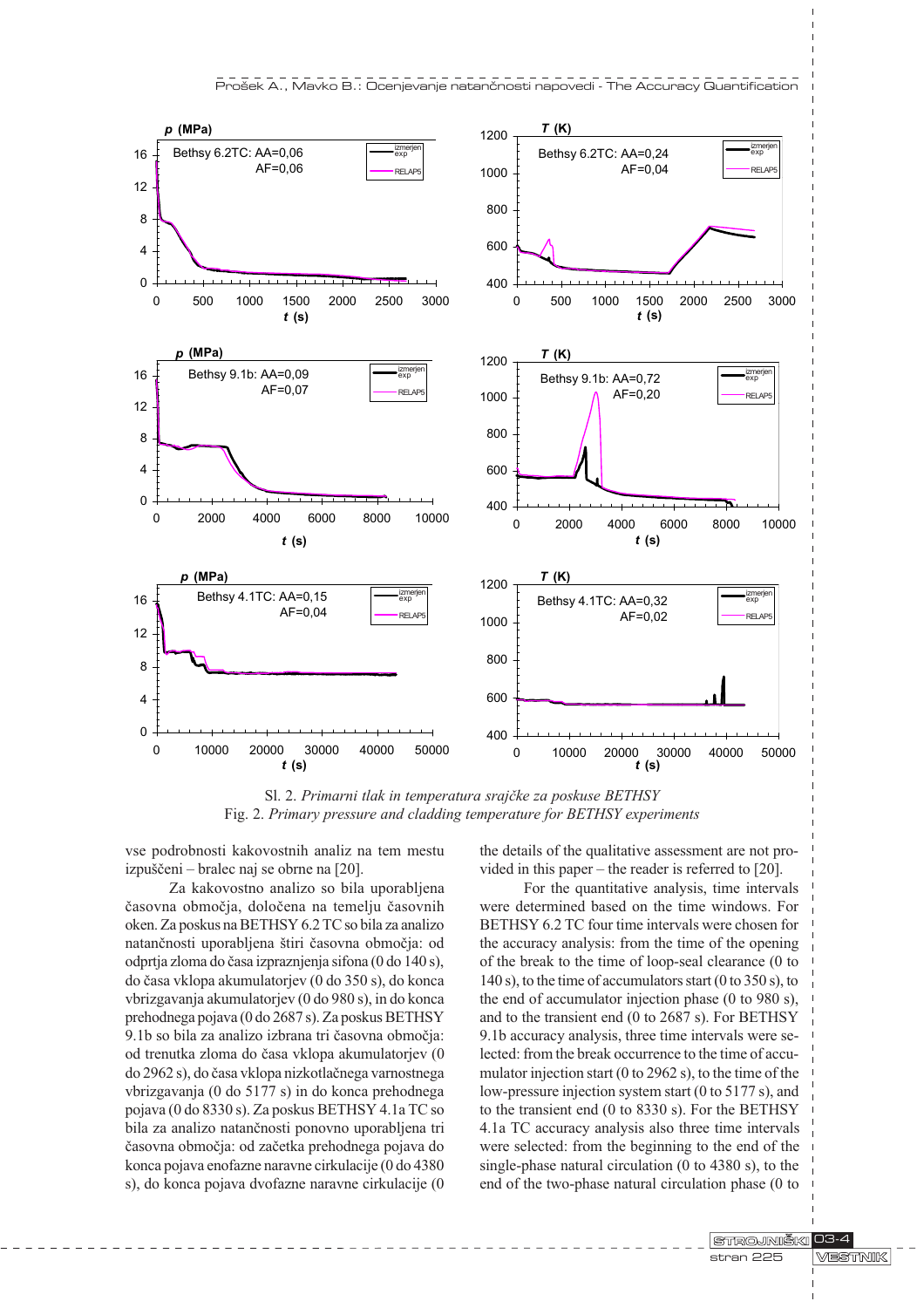

Sl. 2. Primarni tlak in temperatura srajèke za poskuse BETHSY Fig. 2. Primary pressure and cladding temperature for BETHSY experiments

400

600

800

1000

zmerje<br>exp RELAP5

izmerjen exp

vse podrobnosti kakovostnih analiz na tem mestu izpuščeni – bralec naj se obrne na [20].

Bethsy 4.1TC: AA=0,15

0

4

8

12

16

AF=0,04

0 10000 20000 30000 40000 50000 t (s)

Za kakovostno analizo so bila uporabljena èasovna obmoèja, doloèena na temelju èasovnih oken. Za poskus na BETHSY 6.2 TC so bila za analizo natančnosti uporabljena štiri časovna območja: od odprtja zloma do èasa izpraznjenja sifona (0 do 140 s), do èasa vklopa akumulatorjev (0 do 350 s), do konca vbrizgavanja akumulatorjev (0 do 980 s), in do konca prehodnega pojava (0 do 2687 s). Za poskus BETHSY 9.1b so bila za analizo izbrana tri èasovna obmoèja: od trenutka zloma do èasa vklopa akumulatorjev (0 do 2962 s), do èasa vklopa nizkotlaènega varnostnega vbrizgavanja (0 do 5177 s) in do konca prehodnega pojava (0 do 8330 s). Za poskus BETHSY 4.1a TC so bila za analizo natanènosti ponovno uporabljena tri èasovna obmoèja: od zaèetka prehodnega pojava do konca pojava enofazne naravne cirkulacije (0 do 4380 s), do konca pojava dvofazne naravne cirkulacije (0 the details of the qualitative assessment are not provided in this paper  $-$  the reader is referred to [20].

0 10000 20000 30000 40000 50000 t (s)

Bethsy 4.1TC: AA=0,32

 $AF = 0.02$ 

zmerje<br>exp RELAP<sub>5</sub>

izmerjen exp

For the quantitative analysis, time intervals were determined based on the time windows. For BETHSY 6.2 TC four time intervals were chosen for the accuracy analysis: from the time of the opening of the break to the time of loop-seal clearance (0 to 140 s), to the time of accumulators start (0 to 350 s), to the end of accumulator injection phase (0 to 980 s), and to the transient end (0 to 2687 s). For BETHSY 9.1b accuracy analysis, three time intervals were selected: from the break occurrence to the time of accumulator injection start (0 to 2962 s), to the time of the low-pressure injection system start (0 to 5177 s), and to the transient end (0 to 8330 s). For the BETHSY 4.1a TC accuracy analysis also three time intervals were selected: from the beginning to the end of the single-phase natural circulation (0 to 4380 s), to the end of the two-phase natural circulation phase (0 to

> STROJNIŠKI 103-4 **MESTINIK** stran 225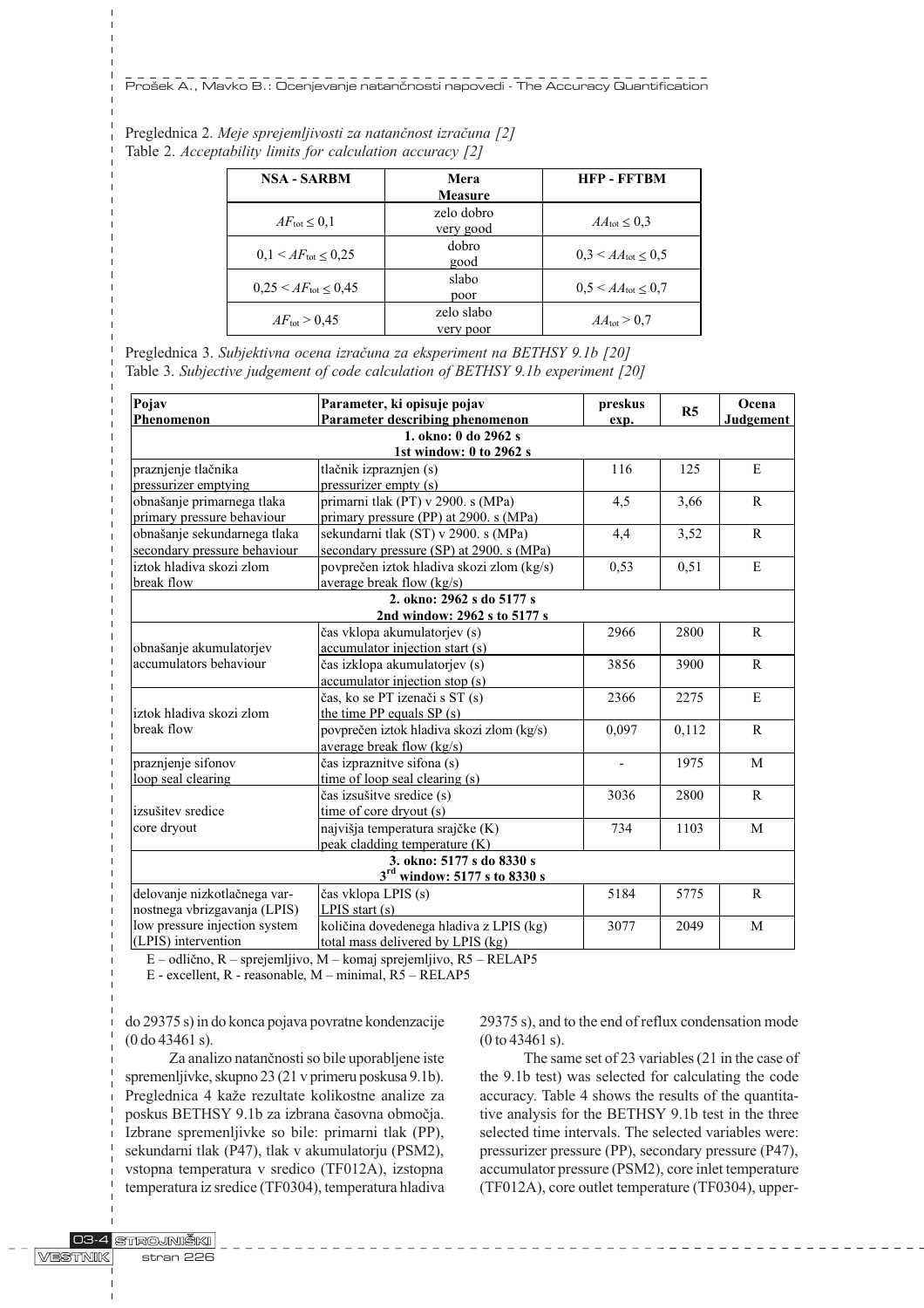| <b>NSA - SARBM</b>                | Mera<br><b>Measure</b>  | <b>HFP-FFTRM</b>                    |
|-----------------------------------|-------------------------|-------------------------------------|
| $AF_{\text{tot}} \leq 0.1$        | zelo dobro<br>very good | $AA_{\text{tot}} \leq 0.3$          |
| $0.1 \leq AF_{\text{tot}} < 0.25$ | dobro<br>good           | $0.3 \leq AA_{\text{tot}} < 0.5$    |
| $0.25 \le AF_{\text{tot}} < 0.45$ | slabo<br>poor           | $0.5 \leq AA_{\text{tot}} \leq 0.7$ |
| $AF_{\text{tot}} > 0.45$          | zelo slabo<br>very poor | $AA_{\text{tot}} > 0.7$             |

| Preglednica 2. Meje sprejemljivosti za natančnost izračuna [2] |  |
|----------------------------------------------------------------|--|
| Table 2. Acceptability limits for calculation accuracy [2]     |  |

Preglednica 3. Subjektivna ocena izraèuna za eksperiment na BETHSY 9.1b [20] Table 3. Subjective judgement of code calculation of BETHSY 9.1b experiment [20]

| Pojav                         | Parameter, ki opisuje pojav               | preskus | R <sub>5</sub> | Ocena        |  |
|-------------------------------|-------------------------------------------|---------|----------------|--------------|--|
| Phenomenon                    | Parameter describing phenomenon           | exp.    |                | Judgement    |  |
|                               | 1. okno: 0 do 2962 s                      |         |                |              |  |
|                               | 1st window: 0 to 2962 s                   |         |                |              |  |
| praznjenje tlačnika           | tlačnik izpraznjen (s)                    | 116     | 125            | E            |  |
| pressurizer emptying          | pressurizer empty (s)                     |         |                |              |  |
| obnašanje primarnega tlaka    | primarni tlak (PT) v 2900. s (MPa)        | 4,5     | 3,66           | $\mathbf{R}$ |  |
| primary pressure behaviour    | primary pressure (PP) at 2900. s (MPa)    |         |                |              |  |
| obnašanje sekundarnega tlaka  | sekundarni tlak (ST) v 2900. s (MPa)      | 4,4     | 3,52           | $\mathsf{R}$ |  |
| secondary pressure behaviour  | secondary pressure (SP) at 2900. s (MPa)  |         |                |              |  |
| iztok hladiva skozi zlom      | povprečen iztok hladiva skozi zlom (kg/s) | 0,53    | 0.51           | E            |  |
| break flow                    | average break flow $(kg/s)$               |         |                |              |  |
|                               | 2. okno: 2962 s do 5177 s                 |         |                |              |  |
|                               | 2nd window: 2962 s to 5177 s              |         |                |              |  |
|                               | čas vklopa akumulatorjev (s)              | 2966    | 2800           | $\mathbf{R}$ |  |
| obnašanje akumulatorjev       | accumulator injection start (s)           |         |                |              |  |
| accumulators behaviour        | čas izklopa akumulatorjev (s)             | 3856    | 3900           | $\mathbf{R}$ |  |
|                               | accumulator injection stop (s)            |         |                |              |  |
|                               | čas, ko se PT izenači s ST (s)            | 2366    | 2275           | E            |  |
| iztok hladiva skozi zlom      | the time PP equals $SP(s)$                |         |                |              |  |
| break flow                    | povprečen iztok hladiva skozi zlom (kg/s) | 0,097   | 0,112          | $\mathbf{R}$ |  |
|                               | average break flow (kg/s)                 |         |                |              |  |
| praznjenje sifonov            | čas izpraznitve sifona (s)                |         | 1975           | M            |  |
| loop seal clearing            | time of loop seal clearing $(s)$          |         |                |              |  |
|                               | čas izsušitve sredice (s)                 | 3036    | 2800           | R            |  |
| izsušitev sredice             | time of core dryout (s)                   |         |                |              |  |
| core dryout                   | najvišja temperatura srajčke (K)          | 734     | 1103           | M            |  |
|                               | peak cladding temperature (K)             |         |                |              |  |
|                               | 3. okno: 5177 s do 8330 s                 |         |                |              |  |
|                               | $3rd$ window: 5177 s to 8330 s            |         |                |              |  |
| delovanje nizkotlačnega var-  | čas vklopa LPIS (s)                       | 5184    | 5775           | $\mathbb{R}$ |  |
| nostnega vbrizgavanja (LPIS)  | LPIS start $(s)$                          |         |                |              |  |
| low pressure injection system | količina dovedenega hladiva z LPIS (kg)   | 3077    | 2049           | M            |  |
| (LPIS) intervention           | total mass delivered by LPIS (kg)         |         |                |              |  |

 $E -$ odlično, R – sprejemljivo, M – komaj sprejemljivo, R5 – RELAP5

 $E$  - excellent, R - reasonable, M – minimal, R5 – RELAP5

do 29375 s) in do konca pojava povratne kondenzacije (0 do 43461 s).

Za analizo natanènosti so bile uporabljene iste spremenljivke, skupno 23 (21 v primeru poskusa 9.1b). Preglednica 4 kaže rezultate kolikostne analize za poskus BETHSY 9.1b za izbrana èasovna obmoèja. Izbrane spremenljivke so bile: primarni tlak (PP), sekundarni tlak (P47), tlak v akumulatorju (PSM2), vstopna temperatura v sredico (TF012A), izstopna temperatura iz sredice (TF0304), temperatura hladiva 29375 s), and to the end of reflux condensation mode (0 to 43461 s).

The same set of 23 variables (21 in the case of the 9.1b test) was selected for calculating the code accuracy. Table 4 shows the results of the quantitative analysis for the BETHSY 9.1b test in the three selected time intervals. The selected variables were: pressurizer pressure (PP), secondary pressure (P47), accumulator pressure (PSM2), core inlet temperature (TF012A), core outlet temperature (TF0304), upper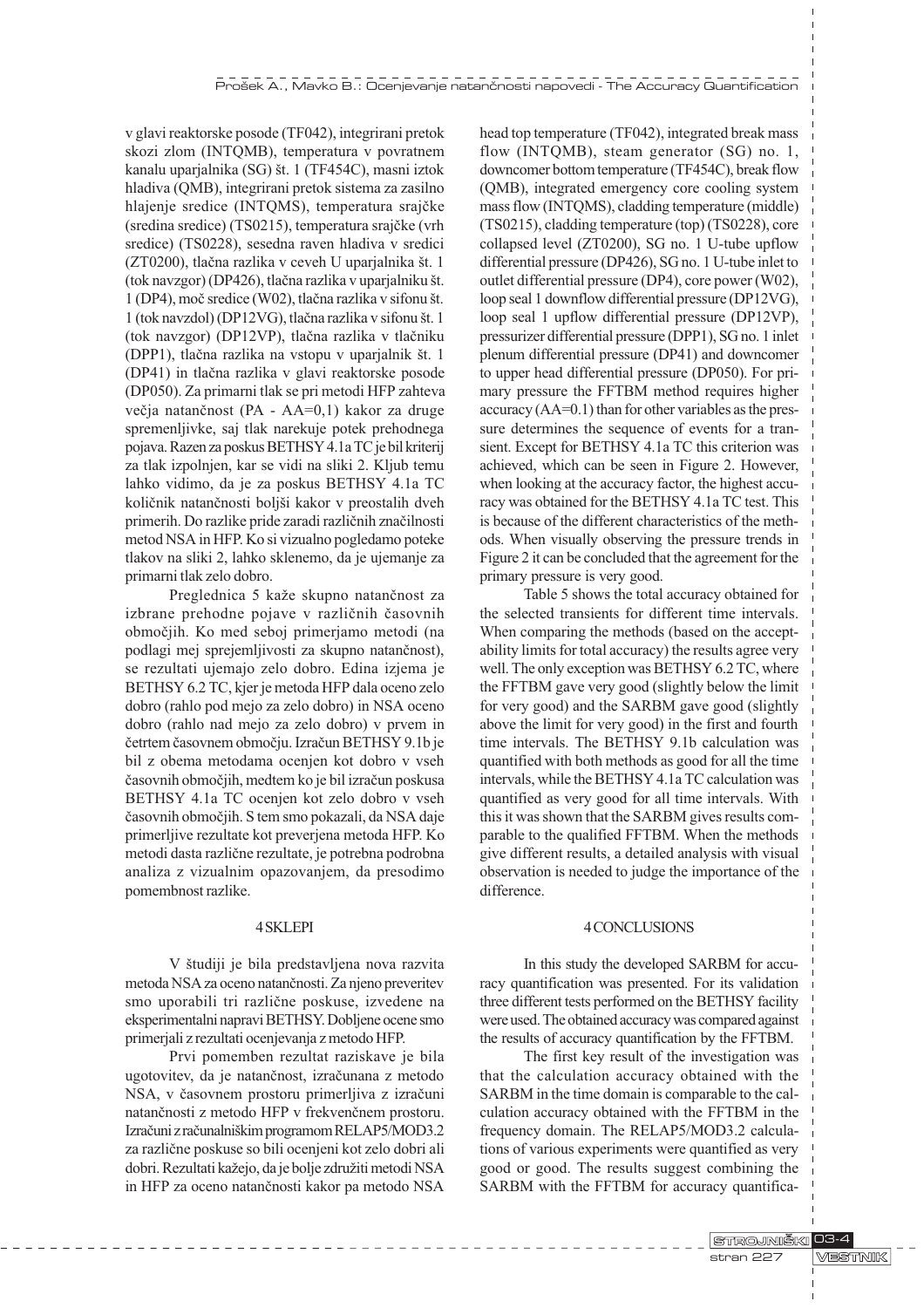v glavi reaktorske posode (TF042), integrirani pretok skozi zlom (INTQMB), temperatura v povratnem kanalu uparjalnika (SG) št. 1 (TF454C), masni iztok hladiva (QMB), integrirani pretok sistema za zasilno hlajenje sredice (INTQMS), temperatura srajèke (sredina sredice) (TS0215), temperatura srajèke (vrh sredice) (TS0228), sesedna raven hladiva v sredici (ZT0200), tlačna razlika v ceveh U uparjalnika št. 1 (tok navzgor) (DP426), tlačna razlika v uparjalniku št. 1 (DP4), moč sredice (W02), tlačna razlika v sifonu št.  $1$  (tok navzdol) (DP12VG), tlačna razlika v sifonu št. 1 (tok navzgor) (DP12VP), tlaèna razlika v tlaèniku (DPP1), tlačna razlika na vstopu v uparjalnik št. 1 (DP41) in tlaèna razlika v glavi reaktorske posode (DP050). Za primarni tlak se pri metodi HFP zahteva večja natančnost (PA - AA=0,1) kakor za druge spremenljivke, saj tlak narekuje potek prehodnega pojava. Razen za poskus BETHSY 4.1a TC je bil kriterij za tlak izpolnjen, kar se vidi na sliki 2. Kljub temu lahko vidimo, da je za poskus BETHSY 4.1a TC količnik natančnosti boljši kakor v preostalih dveh primerih. Do razlike pride zaradi razliènih znaèilnosti metod NSA in HFP. Ko si vizualno pogledamo poteke tlakov na sliki 2, lahko sklenemo, da je ujemanje za primarni tlak zelo dobro.

Preglednica 5 kaže skupno natančnost za izbrane prehodne pojave v razliènih èasovnih obmoèjih. Ko med seboj primerjamo metodi (na podlagi mej sprejemljivosti za skupno natanènost), se rezultati ujemajo zelo dobro. Edina izjema je BETHSY 6.2 TC, kjer je metoda HFP dala oceno zelo dobro (rahlo pod mejo za zelo dobro) in NSA oceno dobro (rahlo nad mejo za zelo dobro) v prvem in èetrtem èasovnem obmoèju. Izraèun BETHSY 9.1b je bil z obema metodama ocenjen kot dobro v vseh èasovnih obmoèjih, medtem ko je bil izraèun poskusa BETHSY 4.1a TC ocenjen kot zelo dobro v vseh èasovnih obmoèjih. S tem smo pokazali, da NSA daje primerljive rezultate kot preverjena metoda HFP. Ko metodi dasta razliène rezultate, je potrebna podrobna analiza z vizualnim opazovanjem, da presodimo pomembnost razlike.

## 4 SKLEPI

V študiji je bila predstavljena nova razvita metoda NSA za oceno natanènosti. Za njeno preveritev smo uporabili tri razliène poskuse, izvedene na eksperimentalni napravi BETHSY. Dobljene ocene smo primerjali z rezultati ocenjevanja z metodo HFP.

Prvi pomemben rezultat raziskave je bila ugotovitev, da je natanènost, izraèunana z metodo NSA, v èasovnem prostoru primerljiva z izraèuni natanènosti z metodo HFP v frekvenènem prostoru. Izraèuni z raèunalnikim programom RELAP5/MOD3.2 za razliène poskuse so bili ocenjeni kot zelo dobri ali dobri. Rezultati kažejo, da je bolje združiti metodi NSA in HFP za oceno natanènosti kakor pa metodo NSA head top temperature (TF042), integrated break mass flow (INTQMB), steam generator (SG) no. 1, downcomer bottom temperature (TF454C), break flow (QMB), integrated emergency core cooling system mass flow (INTQMS), cladding temperature (middle) (TS0215), cladding temperature (top) (TS0228), core collapsed level (ZT0200), SG no. 1 U-tube upflow differential pressure (DP426), SG no. 1 U-tube inlet to outlet differential pressure (DP4), core power (W02), loop seal 1 downflow differential pressure (DP12VG), loop seal 1 upflow differential pressure (DP12VP), pressurizer differential pressure (DPP1), SG no. 1 inlet plenum differential pressure (DP41) and downcomer to upper head differential pressure (DP050). For primary pressure the FFTBM method requires higher accuracy (AA=0.1) than for other variables as the pressure determines the sequence of events for a transient. Except for BETHSY 4.1a TC this criterion was achieved, which can be seen in Figure 2. However, when looking at the accuracy factor, the highest accuracy was obtained for the BETHSY 4.1a TC test. This is because of the different characteristics of the methods. When visually observing the pressure trends in Figure 2 it can be concluded that the agreement for the primary pressure is very good.

Table 5 shows the total accuracy obtained for the selected transients for different time intervals. When comparing the methods (based on the acceptability limits for total accuracy) the results agree very well. The only exception was BETHSY 6.2 TC, where the FFTBM gave very good (slightly below the limit for very good) and the SARBM gave good (slightly above the limit for very good) in the first and fourth time intervals. The BETHSY 9.1b calculation was quantified with both methods as good for all the time intervals, while the BETHSY 4.1a TC calculation was quantified as very good for all time intervals. With this it was shown that the SARBM gives results comparable to the qualified FFTBM. When the methods give different results, a detailed analysis with visual observation is needed to judge the importance of the difference.

## 4 CONCLUSIONS

In this study the developed SARBM for accuracy quantification was presented. For its validation three different tests performed on the BETHSY facility were used. The obtained accuracy was compared against the results of accuracy quantification by the FFTBM.

The first key result of the investigation was that the calculation accuracy obtained with the SARBM in the time domain is comparable to the calculation accuracy obtained with the FFTBM in the frequency domain. The RELAP5/MOD3.2 calculations of various experiments were quantified as very good or good. The results suggest combining the SARBM with the FFTBM for accuracy quantifica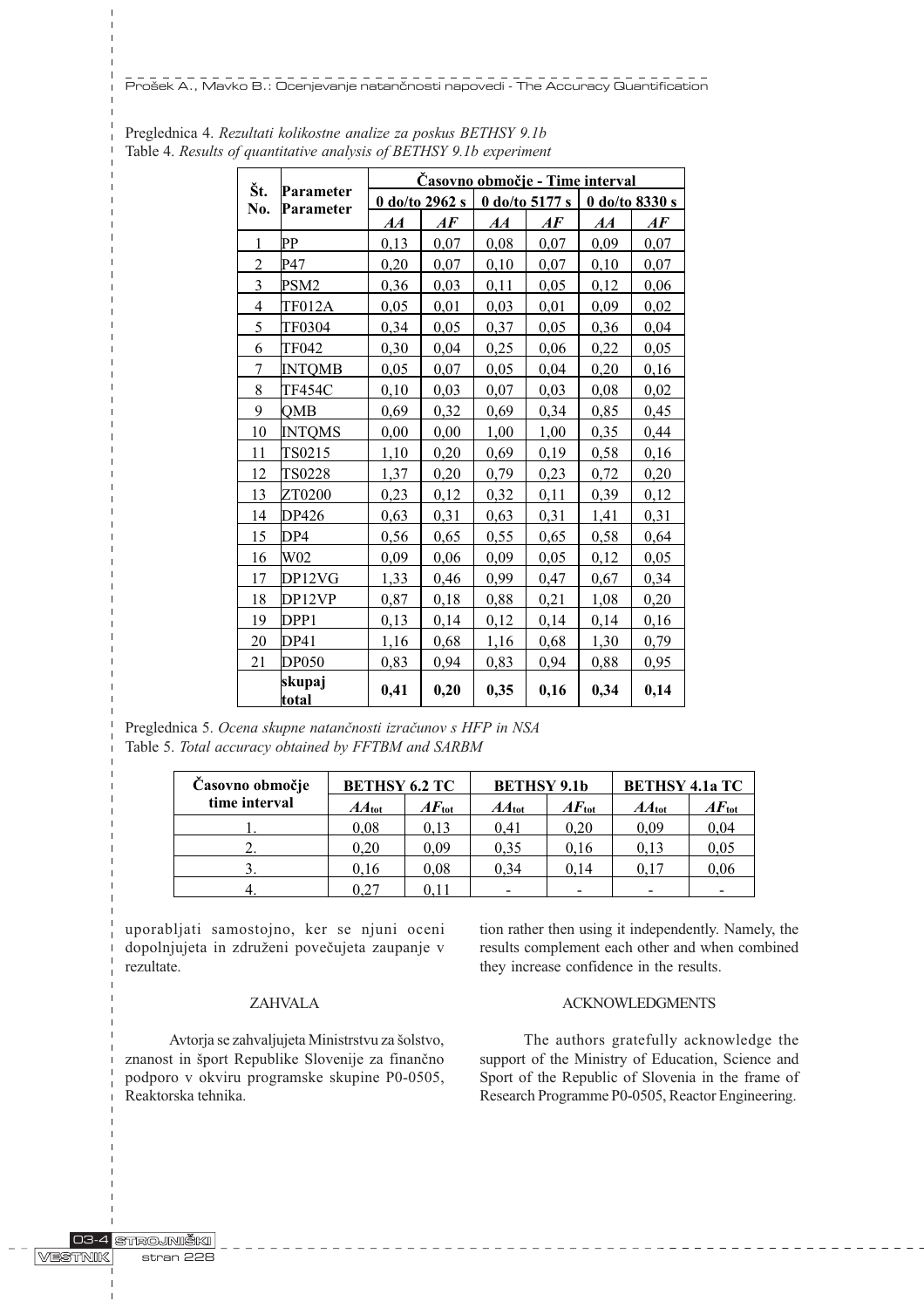Pro{ek A., Mavko B.: Ocenjevanje natan~nosti napovedi - The Accuracy Quantification

|                | Parameter<br>Parameter | <u> Časovno območje - Time interval</u> |                                |                |      |                  |                                |
|----------------|------------------------|-----------------------------------------|--------------------------------|----------------|------|------------------|--------------------------------|
| Št.<br>No.     |                        | 0 do/to 2962 s                          |                                | 0 do/to 5177 s |      | $0$ do/to 8330 s |                                |
|                |                        | AA                                      | $\boldsymbol{A}\boldsymbol{F}$ | AA             | AF   | AA               | $\boldsymbol{A}\boldsymbol{F}$ |
| 1              | PР                     | 0,13                                    | 0,07                           | 0,08           | 0,07 | 0,09             | 0,07                           |
| $\overline{c}$ | P47                    | 0,20                                    | 0,07                           | 0,10           | 0,07 | 0,10             | 0,07                           |
| 3              | PSM2                   | 0,36                                    | 0,03                           | 0,11           | 0,05 | 0,12             | 0,06                           |
| 4              | <b>TF012A</b>          | 0,05                                    | 0,01                           | 0,03           | 0,01 | 0,09             | 0,02                           |
| 5              | TF0304                 | 0,34                                    | 0,05                           | 0,37           | 0,05 | 0,36             | 0,04                           |
| 6              | TF042                  | 0,30                                    | 0,04                           | 0,25           | 0,06 | 0,22             | 0,05                           |
| 7              | <b>INTQMB</b>          | 0,05                                    | 0,07                           | 0,05           | 0,04 | 0,20             | 0,16                           |
| 8              | <b>TF454C</b>          | 0,10                                    | 0,03                           | 0,07           | 0,03 | 0,08             | 0,02                           |
| 9              | OMB                    | 0,69                                    | 0,32                           | 0,69           | 0,34 | 0,85             | 0,45                           |
| 10             | <b>INTQMS</b>          | 0,00                                    | 0,00                           | 1,00           | 1,00 | 0,35             | 0,44                           |
| 11             | TS0215                 | 1,10                                    | 0,20                           | 0,69           | 0,19 | 0,58             | 0,16                           |
| 12             | TS0228                 | 1,37                                    | 0,20                           | 0,79           | 0,23 | 0,72             | 0,20                           |
| 13             | ZT0200                 | 0,23                                    | 0,12                           | 0,32           | 0,11 | 0,39             | 0,12                           |
| 14             | DP426                  | 0,63                                    | 0,31                           | 0,63           | 0,31 | 1,41             | 0,31                           |
| 15             | DP4                    | 0,56                                    | 0,65                           | 0,55           | 0,65 | 0,58             | 0,64                           |
| 16             | W02                    | 0,09                                    | 0,06                           | 0,09           | 0,05 | 0,12             | 0,05                           |
| 17             | DP12VG                 | 1,33                                    | 0,46                           | 0,99           | 0,47 | 0,67             | 0,34                           |
| 18             | DP12VP                 | 0,87                                    | 0,18                           | 0,88           | 0,21 | 1,08             | 0,20                           |
| 19             | DPP1                   | 0,13                                    | 0,14                           | 0,12           | 0,14 | 0,14             | 0,16                           |
| 20             | DP41                   | 1,16                                    | 0,68                           | 1,16           | 0,68 | 1,30             | 0,79                           |
| 21             | <b>DP050</b>           | 0,83                                    | 0.94                           | 0,83           | 0.94 | 0,88             | 0,95                           |
|                | skupaj<br>total        | 0,41                                    | 0,20                           | 0,35           | 0,16 | 0,34             | 0,14                           |

Preglednica 4. Rezultati kolikostne analize za poskus BETHSY 9.1b Table 4. Results of quantitative analysis of BETHSY 9.1b experiment

Preglednica 5. Ocena skupne natanènosti izraèunov s HFP in NSA Table 5. Total accuracy obtained by FFTBM and SARBM

| Časovno območje | <b>BETHSY 6.2 TC</b> |                   | <b>BETHSY 9.1b</b> |                   | <b>BETHSY 4.1a TC</b> |                |
|-----------------|----------------------|-------------------|--------------------|-------------------|-----------------------|----------------|
| time interval   | $AA_{\text{tot}}$    | $AF_{\text{tot}}$ | $AA_{\text{tot}}$  | $AF_{\text{tot}}$ | $AA_{\text{tot}}$     | $AF_{\rm tot}$ |
|                 | 0.08                 | 0.13              | 0.41               | 0.20              | 0,09                  | 0,04           |
|                 | 0.20                 | 0.09              | 0.35               | 0.16              | 0,13                  | 0,05           |
|                 | 0.16                 | 0.08              | 0.34               | 0.14              | 0.17                  | 0,06           |
|                 |                      |                   |                    | -                 |                       |                |

uporabljati samostojno, ker se njuni oceni dopolnjujeta in združeni povečujeta zaupanje v rezultate.

# ZAHVALA

Avtorja se zahvaljujeta Ministrstvu za šolstvo, znanost in šport Republike Slovenije za finančno podporo v okviru programske skupine P0-0505, Reaktorska tehnika.

tion rather then using it independently. Namely, the results complement each other and when combined they increase confidence in the results.

# ACKNOWLEDGMENTS

The authors gratefully acknowledge the support of the Ministry of Education, Science and Sport of the Republic of Slovenia in the frame of Research Programme P0-0505, Reactor Engineering.